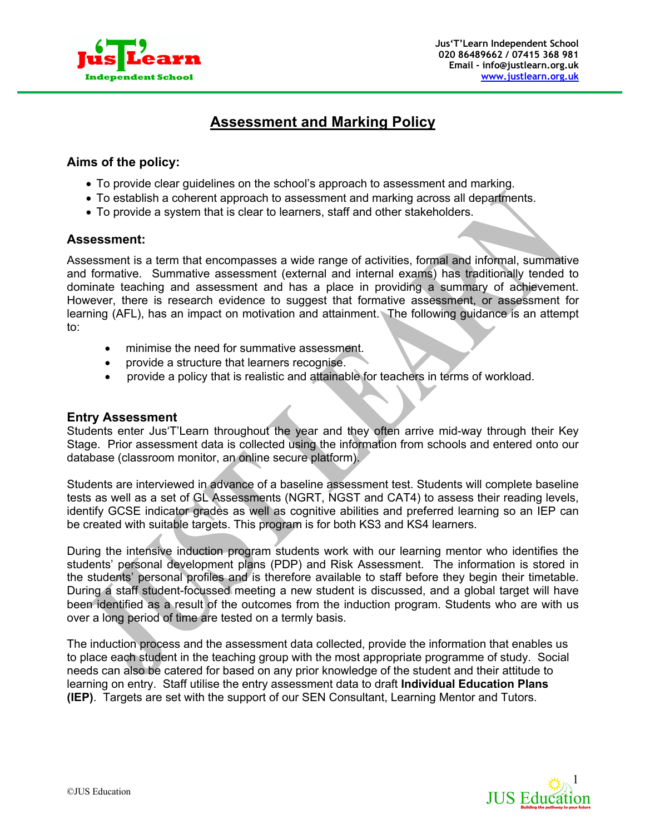

# **Assessment and Marking Policy**

## **Aims of the policy:**

- To provide clear guidelines on the school's approach to assessment and marking.
- To establish a coherent approach to assessment and marking across all departments.
- To provide a system that is clear to learners, staff and other stakeholders.

### **Assessment:**

Assessment is a term that encompasses a wide range of activities, formal and informal, summative and formative. Summative assessment (external and internal exams) has traditionally tended to dominate teaching and assessment and has a place in providing a summary of achievement. However, there is research evidence to suggest that formative assessment, or assessment for learning (AFL), has an impact on motivation and attainment. The following guidance is an attempt to:

- minimise the need for summative assessment.
- provide a structure that learners recognise.
- provide a policy that is realistic and attainable for teachers in terms of workload.

#### **Entry Assessment**

Students enter Jus'T'Learn throughout the year and they often arrive mid-way through their Key Stage. Prior assessment data is collected using the information from schools and entered onto our database (classroom monitor, an online secure platform).

Students are interviewed in advance of a baseline assessment test. Students will complete baseline tests as well as a set of GL Assessments (NGRT, NGST and CAT4) to assess their reading levels, identify GCSE indicator grades as well as cognitive abilities and preferred learning so an IEP can be created with suitable targets. This program is for both KS3 and KS4 learners.

During the intensive induction program students work with our learning mentor who identifies the students' personal development plans (PDP) and Risk Assessment. The information is stored in the students' personal profiles and is therefore available to staff before they begin their timetable. During a staff student-focussed meeting a new student is discussed, and a global target will have been identified as a result of the outcomes from the induction program. Students who are with us over a long period of time are tested on a termly basis.

The induction process and the assessment data collected, provide the information that enables us to place each student in the teaching group with the most appropriate programme of study. Social needs can also be catered for based on any prior knowledge of the student and their attitude to learning on entry. Staff utilise the entry assessment data to draft **Individual Education Plans (IEP)**. Targets are set with the support of our SEN Consultant, Learning Mentor and Tutors.

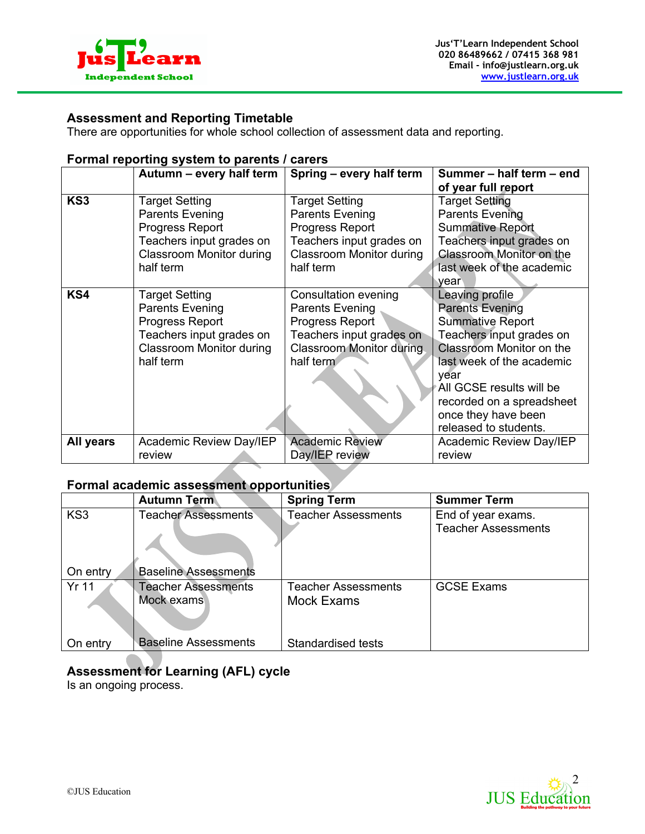

# **Assessment and Reporting Timetable**

There are opportunities for whole school collection of assessment data and reporting.

#### **Formal reporting system to parents / carers**

|                 | Autumn - every half term        | Spring - every half term        | Summer - half term - end        |
|-----------------|---------------------------------|---------------------------------|---------------------------------|
|                 |                                 |                                 | of year full report             |
| KS <sub>3</sub> | <b>Target Setting</b>           | Target Setting                  | <b>Target Setting</b>           |
|                 | <b>Parents Evening</b>          | <b>Parents Evening</b>          | <b>Parents Evening</b>          |
|                 | <b>Progress Report</b>          | <b>Progress Report</b>          | <b>Summative Report</b>         |
|                 | Teachers input grades on        | Teachers input grades on        | Teachers input grades on        |
|                 | <b>Classroom Monitor during</b> | <b>Classroom Monitor during</b> | <b>Classroom Monitor on the</b> |
|                 | half term                       | half term                       | last week of the academic       |
|                 |                                 |                                 | vear                            |
| KS4             | <b>Target Setting</b>           | Consultation evening            | Leaving profile                 |
|                 | <b>Parents Evening</b>          | Parents Evening                 | <b>Parents Evening</b>          |
|                 | Progress Report                 | Progress Report                 | <b>Summative Report</b>         |
|                 | Teachers input grades on        | Teachers input grades on        | Teachers input grades on        |
|                 | <b>Classroom Monitor during</b> | Classroom Monitor during        | Classroom Monitor on the        |
|                 | half term                       | half term                       | last week of the academic       |
|                 |                                 |                                 | year                            |
|                 |                                 |                                 | All GCSE results will be        |
|                 |                                 |                                 | recorded on a spreadsheet       |
|                 |                                 |                                 | once they have been             |
|                 |                                 |                                 | released to students.           |
| All years       | Academic Review Day/IEP         | <b>Academic Review</b>          | Academic Review Day/IEP         |
|                 | review                          | Day/IEP review                  | review                          |

## **Formal academic assessment opportunities**

|                 | <b>Autumn Term</b>          | <b>Spring Term</b>         | <b>Summer Term</b>         |
|-----------------|-----------------------------|----------------------------|----------------------------|
| KS <sub>3</sub> | <b>Teacher Assessments</b>  | <b>Teacher Assessments</b> | End of year exams.         |
|                 |                             |                            | <b>Teacher Assessments</b> |
| On entry        | <b>Baseline Assessments</b> |                            |                            |
| <b>Yr 11</b>    | <b>Teacher Assessments</b>  | Teacher Assessments        | <b>GCSE Exams</b>          |
|                 | Mock exams                  | <b>Mock Exams</b>          |                            |
| On entry        | <b>Baseline Assessments</b> | <b>Standardised tests</b>  |                            |

# **Assessment for Learning (AFL) cycle**

Is an ongoing process.

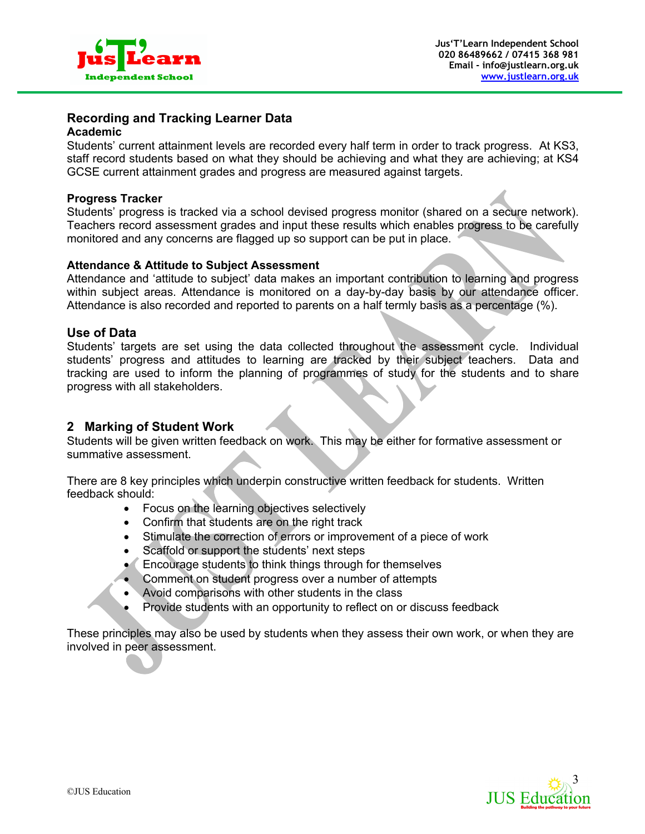

# **Recording and Tracking Learner Data**

#### **Academic**

Students' current attainment levels are recorded every half term in order to track progress. At KS3, staff record students based on what they should be achieving and what they are achieving; at KS4 GCSE current attainment grades and progress are measured against targets.

#### **Progress Tracker**

Students' progress is tracked via a school devised progress monitor (shared on a secure network). Teachers record assessment grades and input these results which enables progress to be carefully monitored and any concerns are flagged up so support can be put in place.

#### **Attendance & Attitude to Subject Assessment**

Attendance and 'attitude to subject' data makes an important contribution to learning and progress within subject areas. Attendance is monitored on a day-by-day basis by our attendance officer. Attendance is also recorded and reported to parents on a half termly basis as a percentage (%).

#### **Use of Data**

Students' targets are set using the data collected throughout the assessment cycle. Individual students' progress and attitudes to learning are tracked by their subject teachers. Data and tracking are used to inform the planning of programmes of study for the students and to share progress with all stakeholders.

### **2 Marking of Student Work**

Students will be given written feedback on work. This may be either for formative assessment or summative assessment.

There are 8 key principles which underpin constructive written feedback for students. Written feedback should:

- Focus on the learning objectives selectively
- Confirm that students are on the right track
- Stimulate the correction of errors or improvement of a piece of work
- Scaffold or support the students' next steps
- Encourage students to think things through for themselves
- Comment on student progress over a number of attempts
- Avoid comparisons with other students in the class
- Provide students with an opportunity to reflect on or discuss feedback

These principles may also be used by students when they assess their own work, or when they are involved in peer assessment.

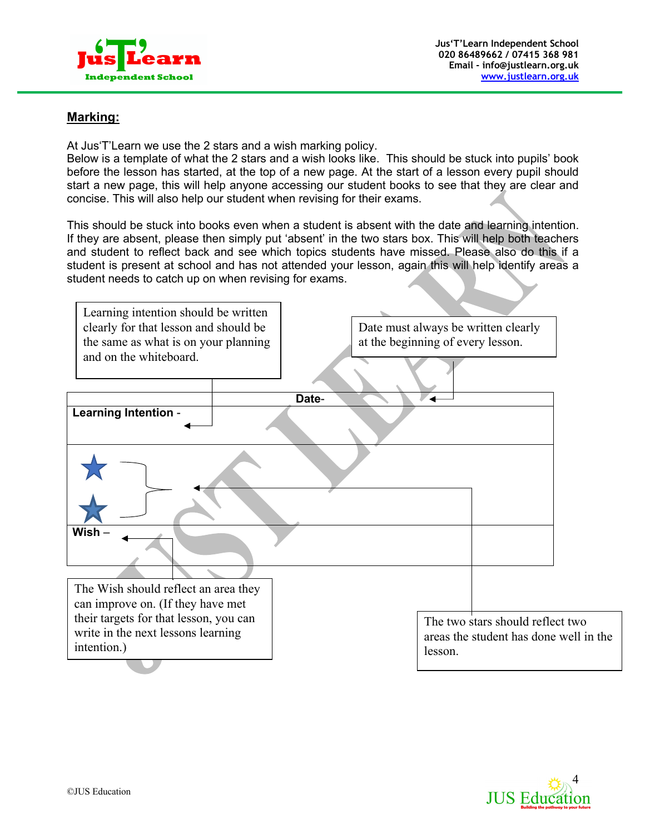

# **Marking:**

At Jus'T'Learn we use the 2 stars and a wish marking policy.

Below is a template of what the 2 stars and a wish looks like. This should be stuck into pupils' book before the lesson has started, at the top of a new page. At the start of a lesson every pupil should start a new page, this will help anyone accessing our student books to see that they are clear and concise. This will also help our student when revising for their exams.

This should be stuck into books even when a student is absent with the date and learning intention. If they are absent, please then simply put 'absent' in the two stars box. This will help both teachers and student to reflect back and see which topics students have missed. Please also do this if a student is present at school and has not attended your lesson, again this will help identify areas a student needs to catch up on when revising for exams.

| Learning intention should be written   |                                        |
|----------------------------------------|----------------------------------------|
| clearly for that lesson and should be  | Date must always be written clearly    |
| the same as what is on your planning   | at the beginning of every lesson.      |
| and on the whiteboard.                 |                                        |
|                                        | Date-                                  |
| <b>Learning Intention -</b>            |                                        |
|                                        |                                        |
| Wish                                   |                                        |
| The Wish should reflect an area they   |                                        |
| can improve on. (If they have met      |                                        |
| their targets for that lesson, you can | The two stars should reflect two       |
| write in the next lessons learning     | areas the student has done well in the |
| intention.)                            | lesson.                                |
|                                        |                                        |

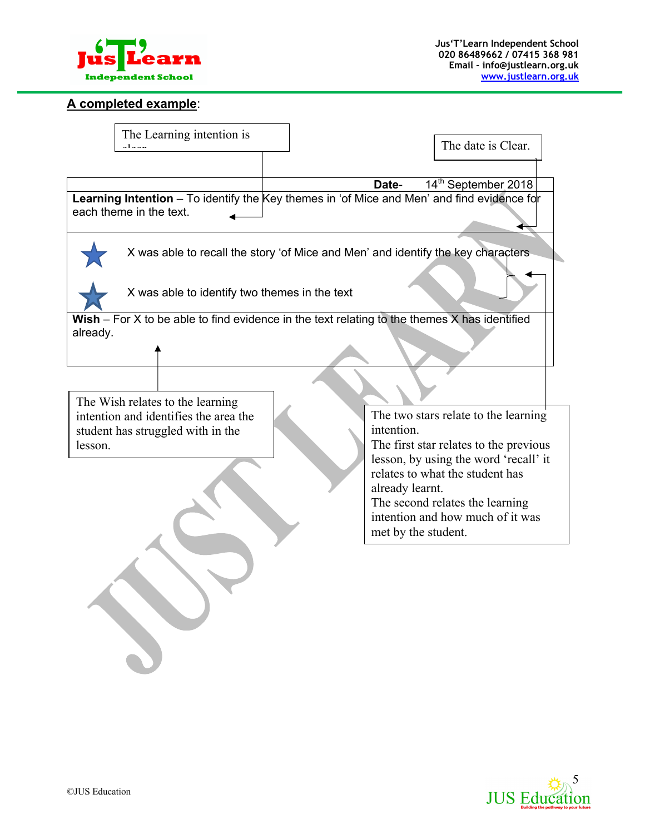

#### **A completed example**:



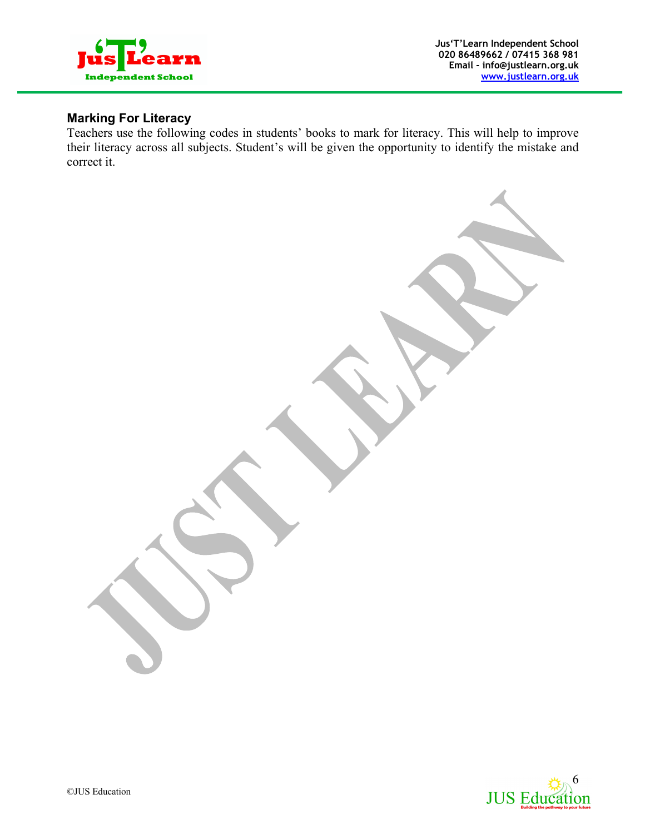

# **Marking For Literacy**

Teachers use the following codes in students' books to mark for literacy. This will help to improve their literacy across all subjects. Student's will be given the opportunity to identify the mistake and correct it.

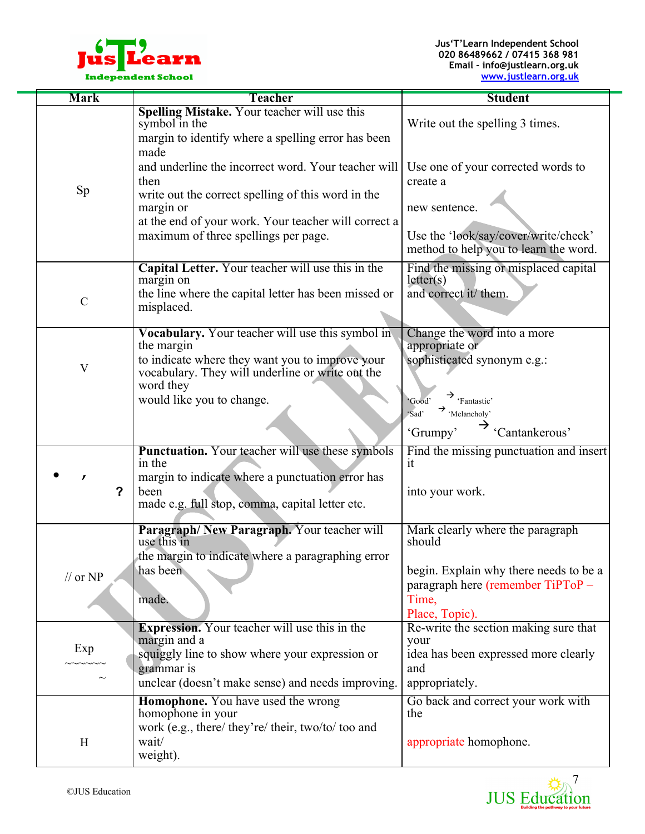

| <b>Mark</b>                | <b>Teacher</b>                                                     | <b>Student</b>                                                             |
|----------------------------|--------------------------------------------------------------------|----------------------------------------------------------------------------|
|                            | Spelling Mistake. Your teacher will use this<br>symbol in the      | Write out the spelling 3 times.                                            |
|                            | margin to identify where a spelling error has been<br>made         |                                                                            |
|                            | and underline the incorrect word. Your teacher will                | Use one of your corrected words to                                         |
| Sp                         | then<br>write out the correct spelling of this word in the         | create a                                                                   |
|                            | margin or<br>at the end of your work. Your teacher will correct a  | new sentence.                                                              |
|                            | maximum of three spellings per page.                               | Use the 'look/say/cover/write/check'                                       |
|                            |                                                                    | method to help you to learn the word.                                      |
|                            | Capital Letter. Your teacher will use this in the<br>margin on     | Find the missing or misplaced capital<br>letter(s)                         |
| $\mathcal{C}$              | the line where the capital letter has been missed or<br>misplaced. | and correct it/ them.                                                      |
|                            |                                                                    |                                                                            |
|                            | Vocabulary. Your teacher will use this symbol in<br>the margin     | Change the word into a more<br>appropriate or                              |
| $\mathbf V$                | to indicate where they want you to improve your                    | sophisticated synonym e.g.:                                                |
|                            | vocabulary. They will underline or write out the<br>word they      |                                                                            |
|                            | would like you to change.                                          | $\rightarrow$ 'Fantastic'<br>'Good'<br>$\rightarrow$ 'Melancholy'<br>'Sad' |
|                            |                                                                    | 'Cantankerous'<br>'Grumpy'                                                 |
|                            | <b>Punctuation.</b> Your teacher will use these symbols<br>in the  | Find the missing punctuation and insert<br>it                              |
| $\mathbf{r}$               | margin to indicate where a punctuation error has                   |                                                                            |
| $\mathbf{P}$               | been<br>made e.g. full stop, comma, capital letter etc.            | into your work.                                                            |
|                            |                                                                    |                                                                            |
|                            | Paragraph/New Paragraph. Your teacher will<br>use this in          | Mark clearly where the paragraph<br>should                                 |
|                            | the margin to indicate where a paragraphing error<br>has been      | begin. Explain why there needs to be a                                     |
| $\frac{1}{\sqrt{2}}$ or NP |                                                                    | paragraph here (remember TiPToP -                                          |
|                            | made.                                                              | Time,<br>Place, Topic).                                                    |
|                            | <b>Expression.</b> Your teacher will use this in the               | Re-write the section making sure that                                      |
| Exp                        | margin and a<br>squiggly line to show where your expression or     | your<br>idea has been expressed more clearly                               |
|                            | grammar is<br>unclear (doesn't make sense) and needs improving.    | and<br>appropriately.                                                      |
|                            | Homophone. You have used the wrong                                 | Go back and correct your work with                                         |
|                            | homophone in your                                                  | the                                                                        |
| H                          | work (e.g., there/ they're/ their, two/to/ too and<br>wait/        | appropriate homophone.                                                     |
|                            | weight).                                                           |                                                                            |

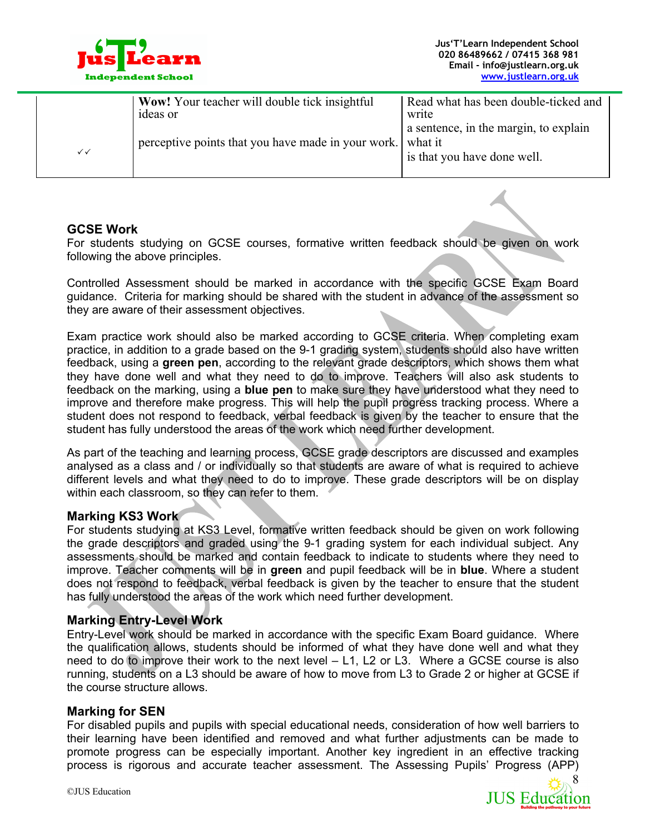

|              | <b>Wow!</b> Your teacher will double tick insightful<br>ideas or | Read what has been double-ticked and<br>write                        |
|--------------|------------------------------------------------------------------|----------------------------------------------------------------------|
| $\checkmark$ | perceptive points that you have made in your work. what it       | a sentence, in the margin, to explain<br>is that you have done well. |

#### **GCSE Work**

For students studying on GCSE courses, formative written feedback should be given on work following the above principles.

Controlled Assessment should be marked in accordance with the specific GCSE Exam Board guidance. Criteria for marking should be shared with the student in advance of the assessment so they are aware of their assessment objectives.

Exam practice work should also be marked according to GCSE criteria. When completing exam practice, in addition to a grade based on the 9-1 grading system, students should also have written feedback, using a **green pen**, according to the relevant grade descriptors, which shows them what they have done well and what they need to do to improve. Teachers will also ask students to feedback on the marking, using a **blue pen** to make sure they have understood what they need to improve and therefore make progress. This will help the pupil progress tracking process. Where a student does not respond to feedback, verbal feedback is given by the teacher to ensure that the student has fully understood the areas of the work which need further development.

As part of the teaching and learning process, GCSE grade descriptors are discussed and examples analysed as a class and / or individually so that students are aware of what is required to achieve different levels and what they need to do to improve. These grade descriptors will be on display within each classroom, so they can refer to them.

### **Marking KS3 Work**

For students studying at KS3 Level, formative written feedback should be given on work following the grade descriptors and graded using the 9-1 grading system for each individual subject. Any assessments should be marked and contain feedback to indicate to students where they need to improve. Teacher comments will be in **green** and pupil feedback will be in **blue**. Where a student does not respond to feedback, verbal feedback is given by the teacher to ensure that the student has fully understood the areas of the work which need further development.

### **Marking Entry-Level Work**

Entry-Level work should be marked in accordance with the specific Exam Board guidance. Where the qualification allows, students should be informed of what they have done well and what they need to do to improve their work to the next level – L1, L2 or L3. Where a GCSE course is also running, students on a L3 should be aware of how to move from L3 to Grade 2 or higher at GCSE if the course structure allows.

#### **Marking for SEN**

For disabled pupils and pupils with special educational needs, consideration of how well barriers to their learning have been identified and removed and what further adjustments can be made to promote progress can be especially important. Another key ingredient in an effective tracking process is rigorous and accurate teacher assessment. The Assessing Pupils' Progress (APP)

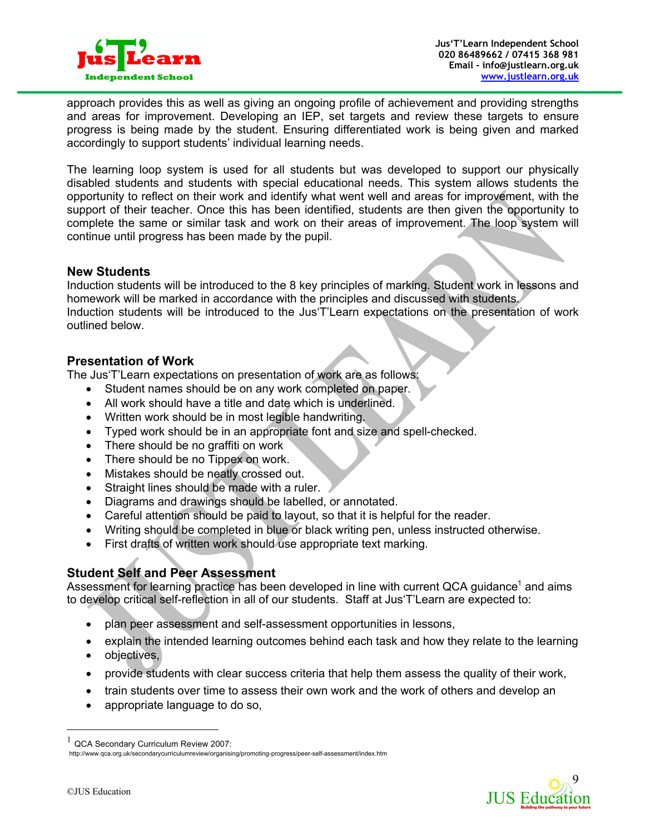

approach provides this as well as giving an ongoing profile of achievement and providing strengths and areas for improvement. Developing an IEP, set targets and review these targets to ensure progress is being made by the student. Ensuring differentiated work is being given and marked accordingly to support students' individual learning needs.

The learning loop system is used for all students but was developed to support our physically disabled students and students with special educational needs. This system allows students the opportunity to reflect on their work and identify what went well and areas for improvement, with the support of their teacher. Once this has been identified, students are then given the opportunity to complete the same or similar task and work on their areas of improvement. The loop system will continue until progress has been made by the pupil.

### **New Students**

Induction students will be introduced to the 8 key principles of marking. Student work in lessons and homework will be marked in accordance with the principles and discussed with students. Induction students will be introduced to the Jus'T'Learn expectations on the presentation of work outlined below.

## **Presentation of Work**

The Jus'T'Learn expectations on presentation of work are as follows:

- Student names should be on any work completed on paper.
- All work should have a title and date which is underlined.
- Written work should be in most legible handwriting.
- Typed work should be in an appropriate font and size and spell-checked.
- There should be no graffiti on work
- There should be no Tippex on work.
- Mistakes should be neatly crossed out.
- Straight lines should be made with a ruler.
- Diagrams and drawings should be labelled, or annotated.
- Careful attention should be paid to layout, so that it is helpful for the reader.
- Writing should be completed in blue or black writing pen, unless instructed otherwise.
- First drafts of written work should use appropriate text marking.

# **Student Self and Peer Assessment**

Assessment for learning practice has been developed in line with current QCA guidance<sup>1</sup> and aims to develop critical self-reflection in all of our students. Staff at Jus'T'Learn are expected to:

- plan peer assessment and self-assessment opportunities in lessons,
- explain the intended learning outcomes behind each task and how they relate to the learning
- objectives,
- provide students with clear success criteria that help them assess the quality of their work,
- train students over time to assess their own work and the work of others and develop an
- appropriate language to do so,



 $1$  QCA Secondary Curriculum Review 2007: http://www.qca.org.uk/secondarycurriculumreview/organising/promoting-progress/peer-self-assessment/index.htm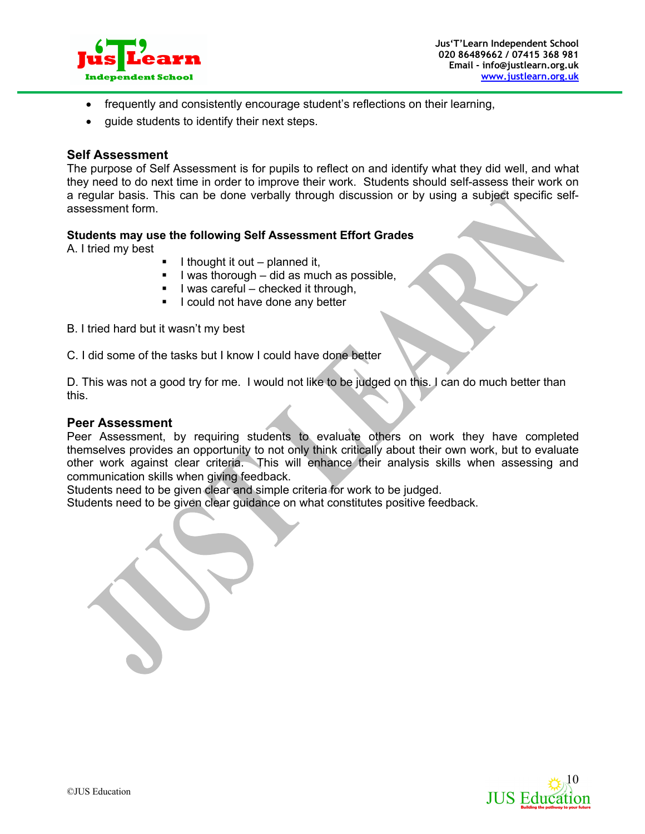

- frequently and consistently encourage student's reflections on their learning,
- guide students to identify their next steps.

#### **Self Assessment**

The purpose of Self Assessment is for pupils to reflect on and identify what they did well, and what they need to do next time in order to improve their work. Students should self-assess their work on a regular basis. This can be done verbally through discussion or by using a subject specific selfassessment form.

#### **Students may use the following Self Assessment Effort Grades**

A. I tried my best

- § I thought it out planned it,
- § I was thorough did as much as possible,
- § I was careful checked it through,
- **I** could not have done any better

B. I tried hard but it wasn't my best

C. I did some of the tasks but I know I could have done better

D. This was not a good try for me. I would not like to be judged on this. I can do much better than this.

#### **Peer Assessment**

Peer Assessment, by requiring students to evaluate others on work they have completed themselves provides an opportunity to not only think critically about their own work, but to evaluate other work against clear criteria. This will enhance their analysis skills when assessing and communication skills when giving feedback.

Students need to be given clear and simple criteria for work to be judged.

Students need to be given clear guidance on what constitutes positive feedback.

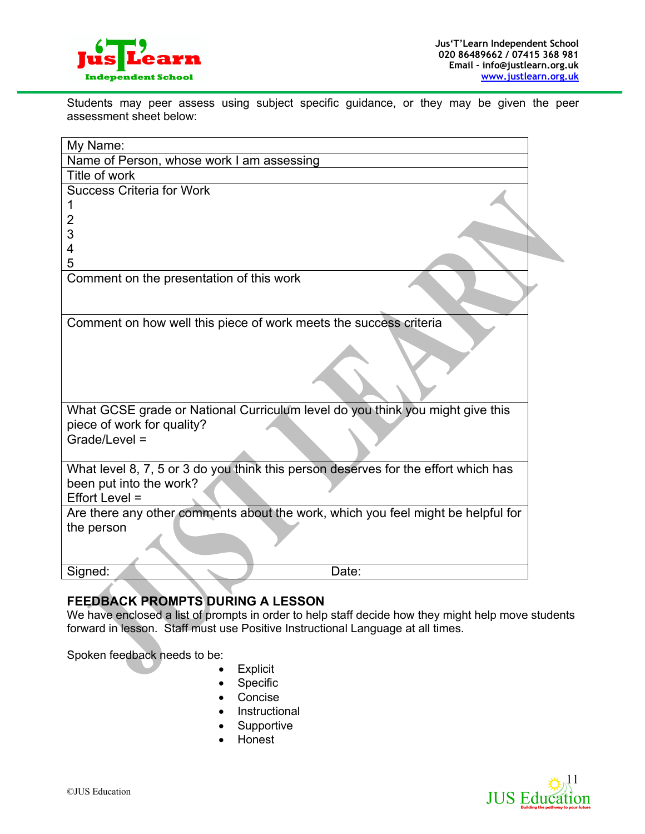

Students may peer assess using subject specific guidance, or they may be given the peer assessment sheet below:

| My Name:                                                                           |  |
|------------------------------------------------------------------------------------|--|
| Name of Person, whose work I am assessing                                          |  |
| Title of work                                                                      |  |
| <b>Success Criteria for Work</b>                                                   |  |
|                                                                                    |  |
| 2                                                                                  |  |
| 3                                                                                  |  |
| 4<br>5                                                                             |  |
| Comment on the presentation of this work                                           |  |
|                                                                                    |  |
|                                                                                    |  |
| Comment on how well this piece of work meets the success criteria                  |  |
|                                                                                    |  |
|                                                                                    |  |
|                                                                                    |  |
|                                                                                    |  |
|                                                                                    |  |
| What GCSE grade or National Curriculum level do you think you might give this      |  |
| piece of work for quality?<br>Grade/Level =                                        |  |
|                                                                                    |  |
| What level 8, 7, 5 or 3 do you think this person deserves for the effort which has |  |
| been put into the work?                                                            |  |
| Effort Level =                                                                     |  |
| Are there any other comments about the work, which you feel might be helpful for   |  |
| the person                                                                         |  |
|                                                                                    |  |
|                                                                                    |  |
| Signed:<br>Date:                                                                   |  |

# **FEEDBACK PROMPTS DURING A LESSON**

We have enclosed a list of prompts in order to help staff decide how they might help move students forward in lesson. Staff must use Positive Instructional Language at all times.

Spoken feedback needs to be:

- Explicit
- Specific
- Concise
- Instructional
- Supportive
- Honest

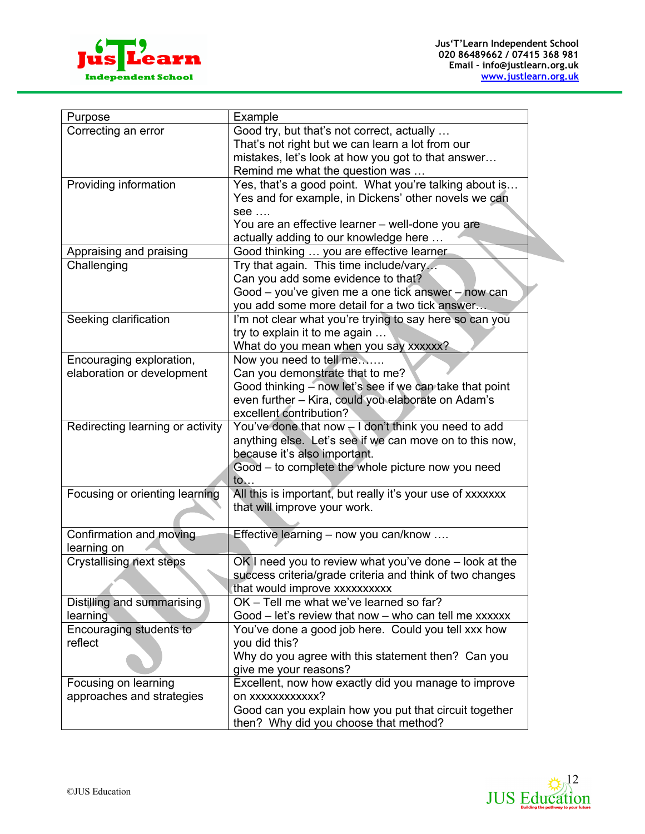



| Purpose                          | Example                                                    |
|----------------------------------|------------------------------------------------------------|
| Correcting an error              | Good try, but that's not correct, actually                 |
|                                  | That's not right but we can learn a lot from our           |
|                                  | mistakes, let's look at how you got to that answer         |
|                                  | Remind me what the question was                            |
| Providing information            | Yes, that's a good point. What you're talking about is     |
|                                  | Yes and for example, in Dickens' other novels we can       |
|                                  | see                                                        |
|                                  | You are an effective learner - well-done you are           |
|                                  | actually adding to our knowledge here                      |
| Appraising and praising          | Good thinking  you are effective learner                   |
| Challenging                      | Try that again. This time include/vary                     |
|                                  | Can you add some evidence to that?                         |
|                                  | Good – you've given me a one tick answer – now can         |
|                                  | you add some more detail for a two tick answer             |
| Seeking clarification            | I'm not clear what you're trying to say here so can you    |
|                                  | try to explain it to me again                              |
|                                  | What do you mean when you say xxxxxx?                      |
| Encouraging exploration,         | Now you need to tell me                                    |
| elaboration or development       | Can you demonstrate that to me?                            |
|                                  | Good thinking - now let's see if we can take that point    |
|                                  | even further - Kira, could you elaborate on Adam's         |
|                                  | excellent contribution?                                    |
| Redirecting learning or activity | You've done that now $-1$ don't think you need to add      |
|                                  | anything else. Let's see if we can move on to this now,    |
|                                  | because it's also important.                               |
|                                  | Good - to complete the whole picture now you need          |
|                                  | to                                                         |
| Focusing or orienting learning   | All this is important, but really it's your use of xxxxxxx |
|                                  | that will improve your work.                               |
|                                  |                                                            |
| Confirmation and moving          | Effective learning - now you can/know                      |
| learning on                      |                                                            |
| <b>Crystallising next steps</b>  | $OK$ I need you to review what you've done $-$ look at the |
|                                  | success criteria/grade criteria and think of two changes   |
|                                  | that would improve xxxxxxxxxx                              |
| Distilling and summarising       | OK - Tell me what we've learned so far?                    |
| learning                         | Good - let's review that now - who can tell me xxxxxx      |
| Encouraging students to          | You've done a good job here. Could you tell xxx how        |
| reflect                          | you did this?                                              |
|                                  | Why do you agree with this statement then? Can you         |
|                                  |                                                            |
|                                  | give me your reasons?                                      |
| Focusing on learning             | Excellent, now how exactly did you manage to improve       |
| approaches and strategies        | on xxxxxxxxxxx?                                            |
|                                  | Good can you explain how you put that circuit together     |
|                                  | then? Why did you choose that method?                      |